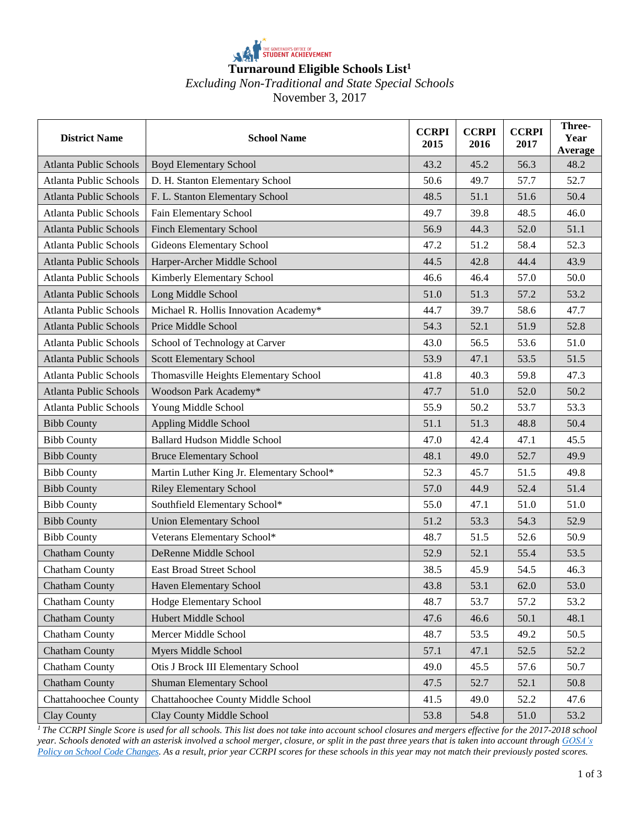

## *Excluding Non-Traditional and State Special Schools* November 3, 2017

| <b>District Name</b>          | <b>School Name</b>                        | <b>CCRPI</b><br>2015 | <b>CCRPI</b><br>2016 | <b>CCRPI</b><br>2017 | Three-<br>Year<br>Average |
|-------------------------------|-------------------------------------------|----------------------|----------------------|----------------------|---------------------------|
| Atlanta Public Schools        | <b>Boyd Elementary School</b>             | 43.2                 | 45.2                 | 56.3                 | 48.2                      |
| Atlanta Public Schools        | D. H. Stanton Elementary School           | 50.6                 | 49.7                 | 57.7                 | 52.7                      |
| <b>Atlanta Public Schools</b> | F. L. Stanton Elementary School           | 48.5                 | 51.1                 | 51.6                 | 50.4                      |
| Atlanta Public Schools        | Fain Elementary School                    | 49.7                 | 39.8                 | 48.5                 | 46.0                      |
| <b>Atlanta Public Schools</b> | <b>Finch Elementary School</b>            | 56.9                 | 44.3                 | 52.0                 | 51.1                      |
| <b>Atlanta Public Schools</b> | <b>Gideons Elementary School</b>          | 47.2                 | 51.2                 | 58.4                 | 52.3                      |
| <b>Atlanta Public Schools</b> | Harper-Archer Middle School               | 44.5                 | 42.8                 | 44.4                 | 43.9                      |
| Atlanta Public Schools        | Kimberly Elementary School                | 46.6                 | 46.4                 | 57.0                 | 50.0                      |
| <b>Atlanta Public Schools</b> | Long Middle School                        | 51.0                 | 51.3                 | 57.2                 | 53.2                      |
| <b>Atlanta Public Schools</b> | Michael R. Hollis Innovation Academy*     | 44.7                 | 39.7                 | 58.6                 | 47.7                      |
| <b>Atlanta Public Schools</b> | Price Middle School                       | 54.3                 | 52.1                 | 51.9                 | 52.8                      |
| <b>Atlanta Public Schools</b> | School of Technology at Carver            | 43.0                 | 56.5                 | 53.6                 | 51.0                      |
| <b>Atlanta Public Schools</b> | Scott Elementary School                   | 53.9                 | 47.1                 | 53.5                 | 51.5                      |
| Atlanta Public Schools        | Thomasville Heights Elementary School     | 41.8                 | 40.3                 | 59.8                 | 47.3                      |
| <b>Atlanta Public Schools</b> | Woodson Park Academy*                     | 47.7                 | 51.0                 | 52.0                 | 50.2                      |
| Atlanta Public Schools        | Young Middle School                       | 55.9                 | 50.2                 | 53.7                 | 53.3                      |
| <b>Bibb County</b>            | Appling Middle School                     | 51.1                 | 51.3                 | 48.8                 | 50.4                      |
| <b>Bibb County</b>            | <b>Ballard Hudson Middle School</b>       | 47.0                 | 42.4                 | 47.1                 | 45.5                      |
| <b>Bibb County</b>            | <b>Bruce Elementary School</b>            | 48.1                 | 49.0                 | 52.7                 | 49.9                      |
| <b>Bibb County</b>            | Martin Luther King Jr. Elementary School* | 52.3                 | 45.7                 | 51.5                 | 49.8                      |
| <b>Bibb County</b>            | <b>Riley Elementary School</b>            | 57.0                 | 44.9                 | 52.4                 | 51.4                      |
| <b>Bibb County</b>            | Southfield Elementary School*             | 55.0                 | 47.1                 | 51.0                 | 51.0                      |
| <b>Bibb County</b>            | <b>Union Elementary School</b>            | 51.2                 | 53.3                 | 54.3                 | 52.9                      |
| <b>Bibb County</b>            | Veterans Elementary School*               | 48.7                 | 51.5                 | 52.6                 | 50.9                      |
| Chatham County                | DeRenne Middle School                     | 52.9                 | 52.1                 | 55.4                 | 53.5                      |
| Chatham County                | East Broad Street School                  | 38.5                 | 45.9                 | 54.5                 | 46.3                      |
| Chatham County                | Haven Elementary School                   | 43.8                 | 53.1                 | $62.0\,$             | 53.0                      |
| Chatham County                | Hodge Elementary School                   | 48.7                 | 53.7                 | 57.2                 | 53.2                      |
| <b>Chatham County</b>         | Hubert Middle School                      | 47.6                 | 46.6                 | 50.1                 | 48.1                      |
| Chatham County                | Mercer Middle School                      | 48.7                 | 53.5                 | 49.2                 | 50.5                      |
| Chatham County                | Myers Middle School                       | 57.1                 | 47.1                 | 52.5                 | 52.2                      |
| Chatham County                | Otis J Brock III Elementary School        | 49.0                 | 45.5                 | 57.6                 | 50.7                      |
| Chatham County                | <b>Shuman Elementary School</b>           | 47.5                 | 52.7                 | 52.1                 | 50.8                      |
| Chattahoochee County          | Chattahoochee County Middle School        | 41.5                 | 49.0                 | 52.2                 | 47.6                      |
| Clay County                   | Clay County Middle School                 | 53.8                 | 54.8                 | 51.0                 | 53.2                      |

<sup>1</sup>*The CCRPI Single Score is used for all schools. This list does not take into account school closures and mergers effective for the 2017-2018 school year. Schools denoted with an asterisk involved a school merger, closure, or split in the past three years that is taken into account throug[h GOSA's](https://gosa.georgia.gov/sites/gosa.georgia.gov/files/Policy%20on%20School%20Code%20Changes.pdf)  [Policy on School Code Changes.](https://gosa.georgia.gov/sites/gosa.georgia.gov/files/Policy%20on%20School%20Code%20Changes.pdf) As a result, prior year CCRPI scores for these schools in this year may not match their previously posted scores.*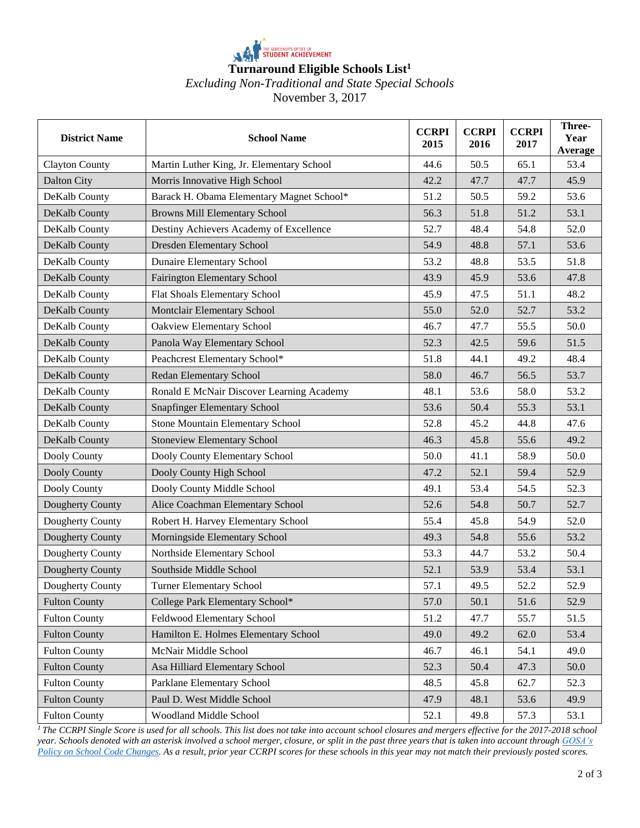

## *Excluding Non-Traditional and State Special Schools*

November 3, 2017

| <b>District Name</b>  | <b>School Name</b>                        | <b>CCRPI</b><br>2015 | <b>CCRPI</b><br>2016 | <b>CCRPI</b><br>2017 | Three-<br>Year<br>Average |
|-----------------------|-------------------------------------------|----------------------|----------------------|----------------------|---------------------------|
| <b>Clayton County</b> | Martin Luther King, Jr. Elementary School | 44.6                 | 50.5                 | 65.1                 | 53.4                      |
| Dalton City           | Morris Innovative High School             | 42.2                 | 47.7                 | 47.7                 | 45.9                      |
| DeKalb County         | Barack H. Obama Elementary Magnet School* | 51.2                 | 50.5                 | 59.2                 | 53.6                      |
| DeKalb County         | Browns Mill Elementary School             | 56.3                 | 51.8                 | 51.2                 | 53.1                      |
| DeKalb County         | Destiny Achievers Academy of Excellence   | 52.7                 | 48.4                 | 54.8                 | 52.0                      |
| DeKalb County         | <b>Dresden Elementary School</b>          | 54.9                 | 48.8                 | 57.1                 | 53.6                      |
| DeKalb County         | <b>Dunaire Elementary School</b>          | 53.2                 | 48.8                 | 53.5                 | 51.8                      |
| DeKalb County         | <b>Fairington Elementary School</b>       | 43.9                 | 45.9                 | 53.6                 | 47.8                      |
| DeKalb County         | Flat Shoals Elementary School             | 45.9                 | 47.5                 | 51.1                 | 48.2                      |
| DeKalb County         | Montclair Elementary School               | 55.0                 | 52.0                 | 52.7                 | 53.2                      |
| DeKalb County         | Oakview Elementary School                 | 46.7                 | 47.7                 | 55.5                 | 50.0                      |
| DeKalb County         | Panola Way Elementary School              | 52.3                 | 42.5                 | 59.6                 | 51.5                      |
| DeKalb County         | Peachcrest Elementary School*             | 51.8                 | 44.1                 | 49.2                 | 48.4                      |
| DeKalb County         | Redan Elementary School                   | 58.0                 | 46.7                 | 56.5                 | 53.7                      |
| DeKalb County         | Ronald E McNair Discover Learning Academy | 48.1                 | 53.6                 | 58.0                 | 53.2                      |
| DeKalb County         | Snapfinger Elementary School              | 53.6                 | 50.4                 | 55.3                 | 53.1                      |
| DeKalb County         | <b>Stone Mountain Elementary School</b>   | 52.8                 | 45.2                 | 44.8                 | 47.6                      |
| DeKalb County         | <b>Stoneview Elementary School</b>        | 46.3                 | 45.8                 | 55.6                 | 49.2                      |
| Dooly County          | Dooly County Elementary School            | 50.0                 | 41.1                 | 58.9                 | 50.0                      |
| Dooly County          | Dooly County High School                  | 47.2                 | 52.1                 | 59.4                 | 52.9                      |
| Dooly County          | Dooly County Middle School                | 49.1                 | 53.4                 | 54.5                 | 52.3                      |
| Dougherty County      | Alice Coachman Elementary School          | 52.6                 | 54.8                 | 50.7                 | 52.7                      |
| Dougherty County      | Robert H. Harvey Elementary School        | 55.4                 | 45.8                 | 54.9                 | 52.0                      |
| Dougherty County      | Morningside Elementary School             | 49.3                 | 54.8                 | 55.6                 | 53.2                      |
| Dougherty County      | Northside Elementary School               | 53.3                 | 44.7                 | 53.2                 | 50.4                      |
| Dougherty County      | Southside Middle School                   | 52.1                 | 53.9                 | 53.4                 | 53.1                      |
| Dougherty County      | Turner Elementary School                  | 57.1                 | 49.5                 | 52.2                 | 52.9                      |
| <b>Fulton County</b>  | College Park Elementary School*           | 57.0                 | 50.1                 | 51.6                 | 52.9                      |
| <b>Fulton County</b>  | Feldwood Elementary School                | 51.2                 | 47.7                 | 55.7                 | 51.5                      |
| <b>Fulton County</b>  | Hamilton E. Holmes Elementary School      | 49.0                 | 49.2                 | 62.0                 | 53.4                      |
| <b>Fulton County</b>  | McNair Middle School                      | 46.7                 | 46.1                 | 54.1                 | 49.0                      |
| <b>Fulton County</b>  | Asa Hilliard Elementary School            | 52.3                 | 50.4                 | 47.3                 | 50.0                      |
| <b>Fulton County</b>  | Parklane Elementary School                | 48.5                 | 45.8                 | 62.7                 | 52.3                      |
| <b>Fulton County</b>  | Paul D. West Middle School                | 47.9                 | 48.1                 | 53.6                 | 49.9                      |
| <b>Fulton County</b>  | Woodland Middle School                    | 52.1                 | 49.8                 | 57.3                 | 53.1                      |

<sup>1</sup> The CCRPI Single Score is used for all schools. This list does not take into account school closures and mergers effective for the 2017-2018 school *year. Schools denoted with an asterisk involved a school merger, closure, or split in the past three years that is taken into account throug[h GOSA's](https://gosa.georgia.gov/sites/gosa.georgia.gov/files/Policy%20on%20School%20Code%20Changes.pdf)  [Policy on School Code Changes.](https://gosa.georgia.gov/sites/gosa.georgia.gov/files/Policy%20on%20School%20Code%20Changes.pdf) As a result, prior year CCRPI scores for these schools in this year may not match their previously posted scores.*